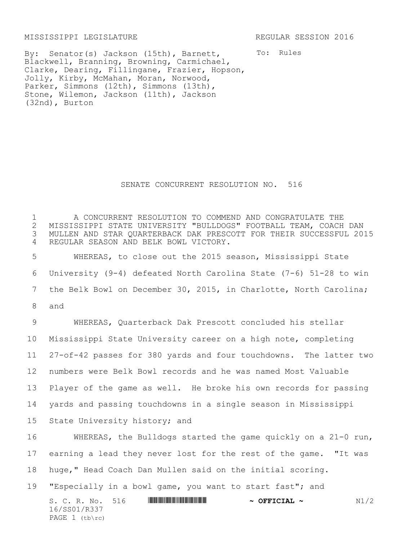MISSISSIPPI LEGISLATURE REGULAR SESSION 2016

By: Senator(s) Jackson (15th), Barnett, Blackwell, Branning, Browning, Carmichael, Clarke, Dearing, Fillingane, Frazier, Hopson, Jolly, Kirby, McMahan, Moran, Norwood, Parker, Simmons (12th), Simmons (13th), Stone, Wilemon, Jackson (11th), Jackson (32nd), Burton

To: Rules

## SENATE CONCURRENT RESOLUTION NO. 516

 A CONCURRENT RESOLUTION TO COMMEND AND CONGRATULATE THE 2 MISSISSIPPI STATE UNIVERSITY "BULLDOGS" FOOTBALL TEAM, COACH DAN<br>3 MULLEN AND STAR QUARTERBACK DAK PRESCOTT FOR THEIR SUCCESSFUL 201 MULLEN AND STAR QUARTERBACK DAK PRESCOTT FOR THEIR SUCCESSFUL 2015 REGULAR SEASON AND BELK BOWL VICTORY.

 WHEREAS, to close out the 2015 season, Mississippi State University (9-4) defeated North Carolina State (7-6) 51-28 to win the Belk Bowl on December 30, 2015, in Charlotte, North Carolina; 8 and

 WHEREAS, Quarterback Dak Prescott concluded his stellar Mississippi State University career on a high note, completing 27-of-42 passes for 380 yards and four touchdowns. The latter two numbers were Belk Bowl records and he was named Most Valuable Player of the game as well. He broke his own records for passing yards and passing touchdowns in a single season in Mississippi State University history; and

 WHEREAS, the Bulldogs started the game quickly on a 21-0 run, earning a lead they never lost for the rest of the game. "It was huge," Head Coach Dan Mullen said on the initial scoring. "Especially in a bowl game, you want to start fast"; and

S. C. R. No. 516 **#SS01/R3377 # SS0287 # OFFICIAL ~**  $\sim$  OFFICIAL ~ N1/2 16/SS01/R337 PAGE  $1$  (tb\rc)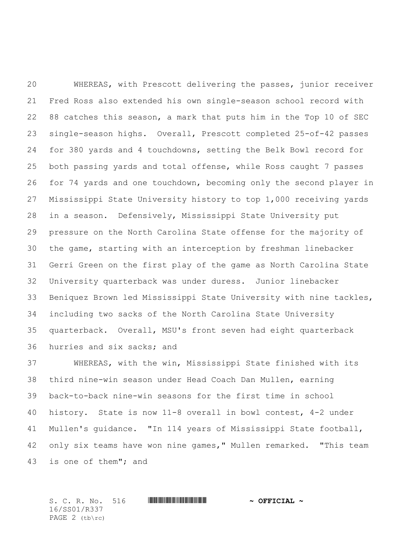WHEREAS, with Prescott delivering the passes, junior receiver Fred Ross also extended his own single-season school record with 88 catches this season, a mark that puts him in the Top 10 of SEC single-season highs. Overall, Prescott completed 25-of-42 passes for 380 yards and 4 touchdowns, setting the Belk Bowl record for both passing yards and total offense, while Ross caught 7 passes for 74 yards and one touchdown, becoming only the second player in Mississippi State University history to top 1,000 receiving yards in a season. Defensively, Mississippi State University put pressure on the North Carolina State offense for the majority of the game, starting with an interception by freshman linebacker Gerri Green on the first play of the game as North Carolina State University quarterback was under duress. Junior linebacker Beniquez Brown led Mississippi State University with nine tackles, including two sacks of the North Carolina State University quarterback. Overall, MSU's front seven had eight quarterback hurries and six sacks; and

 WHEREAS, with the win, Mississippi State finished with its third nine-win season under Head Coach Dan Mullen, earning back-to-back nine-win seasons for the first time in school history. State is now 11-8 overall in bowl contest, 4-2 under Mullen's guidance. "In 114 years of Mississippi State football, only six teams have won nine games," Mullen remarked. "This team is one of them"; and

 $S. C. R. No. 516$  **WITH FINITE WITH THE**  $\sim$  **OFFICIAL**  $\sim$ 16/SS01/R337 PAGE 2 (tb\rc)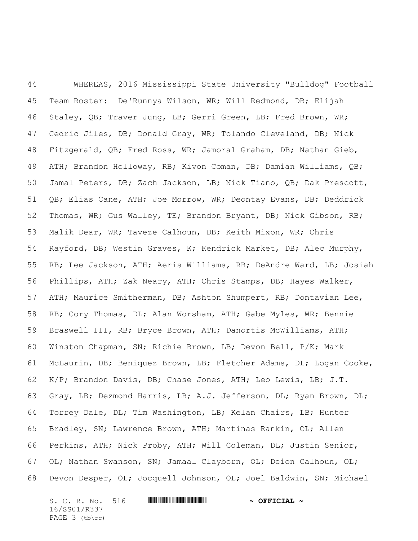WHEREAS, 2016 Mississippi State University "Bulldog" Football Team Roster: De'Runnya Wilson, WR; Will Redmond, DB; Elijah Staley, QB; Traver Jung, LB; Gerri Green, LB; Fred Brown, WR; Cedric Jiles, DB; Donald Gray, WR; Tolando Cleveland, DB; Nick Fitzgerald, QB; Fred Ross, WR; Jamoral Graham, DB; Nathan Gieb, ATH; Brandon Holloway, RB; Kivon Coman, DB; Damian Williams, QB; Jamal Peters, DB; Zach Jackson, LB; Nick Tiano, QB; Dak Prescott, QB; Elias Cane, ATH; Joe Morrow, WR; Deontay Evans, DB; Deddrick Thomas, WR; Gus Walley, TE; Brandon Bryant, DB; Nick Gibson, RB; Malik Dear, WR; Taveze Calhoun, DB; Keith Mixon, WR; Chris Rayford, DB; Westin Graves, K; Kendrick Market, DB; Alec Murphy, RB; Lee Jackson, ATH; Aeris Williams, RB; DeAndre Ward, LB; Josiah Phillips, ATH; Zak Neary, ATH; Chris Stamps, DB; Hayes Walker, ATH; Maurice Smitherman, DB; Ashton Shumpert, RB; Dontavian Lee, RB; Cory Thomas, DL; Alan Worsham, ATH; Gabe Myles, WR; Bennie Braswell III, RB; Bryce Brown, ATH; Danortis McWilliams, ATH; Winston Chapman, SN; Richie Brown, LB; Devon Bell, P/K; Mark McLaurin, DB; Beniquez Brown, LB; Fletcher Adams, DL; Logan Cooke, K/P; Brandon Davis, DB; Chase Jones, ATH; Leo Lewis, LB; J.T. Gray, LB; Dezmond Harris, LB; A.J. Jefferson, DL; Ryan Brown, DL; Torrey Dale, DL; Tim Washington, LB; Kelan Chairs, LB; Hunter Bradley, SN; Lawrence Brown, ATH; Martinas Rankin, OL; Allen Perkins, ATH; Nick Proby, ATH; Will Coleman, DL; Justin Senior, OL; Nathan Swanson, SN; Jamaal Clayborn, OL; Deion Calhoun, OL; Devon Desper, OL; Jocquell Johnson, OL; Joel Baldwin, SN; Michael

S. C. R. No. 516 **WILL AND A SEPT CIAL ~** 16/SS01/R337 PAGE 3 (tb\rc)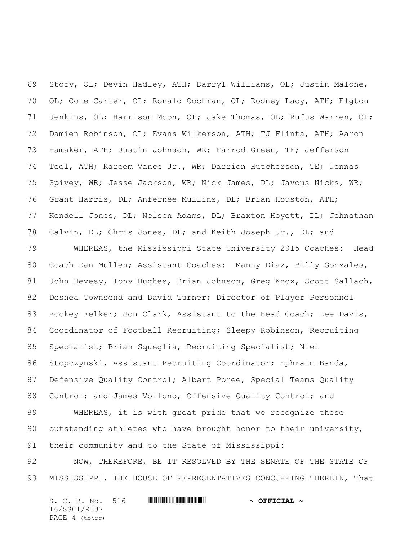Story, OL; Devin Hadley, ATH; Darryl Williams, OL; Justin Malone, OL; Cole Carter, OL; Ronald Cochran, OL; Rodney Lacy, ATH; Elgton Jenkins, OL; Harrison Moon, OL; Jake Thomas, OL; Rufus Warren, OL; Damien Robinson, OL; Evans Wilkerson, ATH; TJ Flinta, ATH; Aaron Hamaker, ATH; Justin Johnson, WR; Farrod Green, TE; Jefferson Teel, ATH; Kareem Vance Jr., WR; Darrion Hutcherson, TE; Jonnas Spivey, WR; Jesse Jackson, WR; Nick James, DL; Javous Nicks, WR; Grant Harris, DL; Anfernee Mullins, DL; Brian Houston, ATH; Kendell Jones, DL; Nelson Adams, DL; Braxton Hoyett, DL; Johnathan Calvin, DL; Chris Jones, DL; and Keith Joseph Jr., DL; and

 WHEREAS, the Mississippi State University 2015 Coaches: Head Coach Dan Mullen; Assistant Coaches: Manny Diaz, Billy Gonzales, John Hevesy, Tony Hughes, Brian Johnson, Greg Knox, Scott Sallach, Deshea Townsend and David Turner; Director of Player Personnel Rockey Felker; Jon Clark, Assistant to the Head Coach; Lee Davis, Coordinator of Football Recruiting; Sleepy Robinson, Recruiting Specialist; Brian Squeglia, Recruiting Specialist; Niel Stopczynski, Assistant Recruiting Coordinator; Ephraim Banda, Defensive Quality Control; Albert Poree, Special Teams Quality 88 Control; and James Vollono, Offensive Quality Control; and WHEREAS, it is with great pride that we recognize these

 outstanding athletes who have brought honor to their university, their community and to the State of Mississippi:

 NOW, THEREFORE, BE IT RESOLVED BY THE SENATE OF THE STATE OF 93 MISSISSIPPI, THE HOUSE OF REPRESENTATIVES CONCURRING THEREIN, That

S. C. R. No. 516 **WILL AND A SEPT ALL AND A OFFICIAL ~** 16/SS01/R337 PAGE 4 (tb\rc)